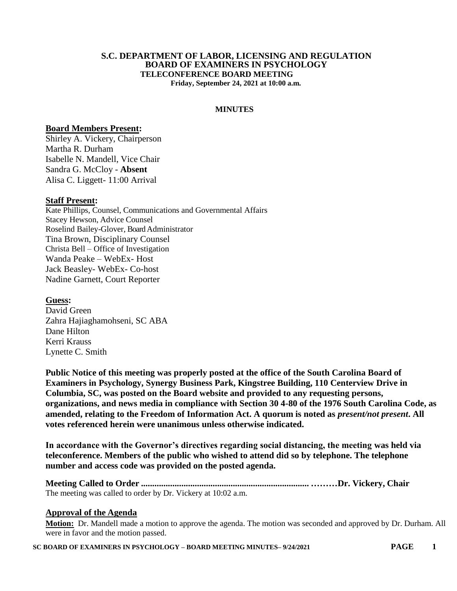#### **S.C. DEPARTMENT OF LABOR, LICENSING AND REGULATION BOARD OF EXAMINERS IN PSYCHOLOGY TELECONFERENCE BOARD MEETING Friday, September 24, 2021 at 10:00 a.m.**

**MINUTES**

#### **Board Members Present:**

Shirley A. Vickery, Chairperson Martha R. Durham Isabelle N. Mandell, Vice Chair Sandra G. McCloy - **Absent** Alisa C. Liggett- 11:00 Arrival

### **Staff Present:**

Kate Phillips, Counsel, Communications and Governmental Affairs Stacey Hewson, Advice Counsel Roselind Bailey-Glover, Board Administrator Tina Brown, Disciplinary Counsel Christa Bell – Office of Investigation Wanda Peake – WebEx- Host Jack Beasley- WebEx- Co-host Nadine Garnett, Court Reporter

**Guess:** David Green Zahra Hajiaghamohseni, SC ABA Dane Hilton Kerri Krauss Lynette C. Smith

**Public Notice of this meeting was properly posted at the office of the South Carolina Board of Examiners in Psychology, Synergy Business Park, Kingstree Building, 110 Centerview Drive in Columbia, SC, was posted on the Board website and provided to any requesting persons, organizations, and news media in compliance with Section 30 4-80 of the 1976 South Carolina Code, as amended, relating to the Freedom of Information Act. A quorum is noted as** *present/not present***. All votes referenced herein were unanimous unless otherwise indicated.**

**In accordance with the Governor's directives regarding social distancing, the meeting was held via teleconference. Members of the public who wished to attend did so by telephone. The telephone number and access code was provided on the posted agenda.**

**Meeting Called to Order ........................................................................... ………Dr. Vickery, Chair** The meeting was called to order by Dr. Vickery at 10:02 a.m.

### **Approval of the Agenda**

**Motion:** Dr. Mandell made a motion to approve the agenda. The motion was seconded and approved by Dr. Durham. All were in favor and the motion passed.

**SC BOARD OF EXAMINERS IN PSYCHOLOGY – BOARD MEETING MINUTES– 9/24/2021 PAGE 1**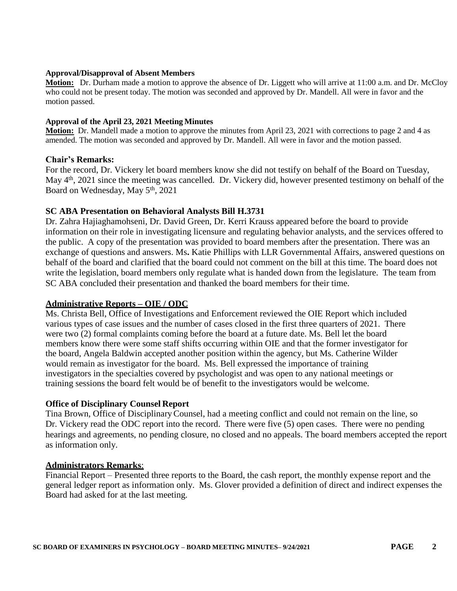#### **Approval/Disapproval of Absent Members**

**Motion:** Dr. Durham made a motion to approve the absence of Dr. Liggett who will arrive at 11:00 a.m. and Dr. McCloy who could not be present today. The motion was seconded and approved by Dr. Mandell. All were in favor and the motion passed.

#### **Approval of the April 23, 2021 Meeting Minutes**

**Motion:** Dr. Mandell made a motion to approve the minutes from April 23, 2021 with corrections to page 2 and 4 as amended. The motion was seconded and approved by Dr. Mandell. All were in favor and the motion passed.

### **Chair's Remarks:**

For the record, Dr. Vickery let board members know she did not testify on behalf of the Board on Tuesday, May 4<sup>th</sup>, 2021 since the meeting was cancelled. Dr. Vickery did, however presented testimony on behalf of the Board on Wednesday, May 5<sup>th</sup>, 2021

### **SC ABA Presentation on Behavioral Analysts Bill H.3731**

Dr. Zahra Hajiaghamohseni, Dr. David Green, Dr. Kerri Krauss appeared before the board to provide information on their role in investigating licensure and regulating behavior analysts, and the services offered to the public. A copy of the presentation was provided to board members after the presentation. There was an exchange of questions and answers. Ms**.** Katie Phillips with LLR Governmental Affairs, answered questions on behalf of the board and clarified that the board could not comment on the bill at this time. The board does not write the legislation, board members only regulate what is handed down from the legislature. The team from SC ABA concluded their presentation and thanked the board members for their time.

### **Administrative Reports – OIE / ODC**

Ms. Christa Bell, Office of Investigations and Enforcement reviewed the OIE Report which included various types of case issues and the number of cases closed in the first three quarters of 2021. There were two (2) formal complaints coming before the board at a future date. Ms. Bell let the board members know there were some staff shifts occurring within OIE and that the former investigator for the board, Angela Baldwin accepted another position within the agency, but Ms. Catherine Wilder would remain as investigator for the board. Ms. Bell expressed the importance of training investigators in the specialties covered by psychologist and was open to any national meetings or training sessions the board felt would be of benefit to the investigators would be welcome.

### **Office of Disciplinary Counsel Report**

Tina Brown, Office of DisciplinaryCounsel, had a meeting conflict and could not remain on the line, so Dr. Vickery read the ODC report into the record. There were five (5) open cases. There were no pending hearings and agreements, no pending closure, no closed and no appeals. The board members accepted the report as information only.

### **Administrators Remarks**:

Financial Report – Presented three reports to the Board, the cash report, the monthly expense report and the general ledger report as information only. Ms. Glover provided a definition of direct and indirect expenses the Board had asked for at the last meeting.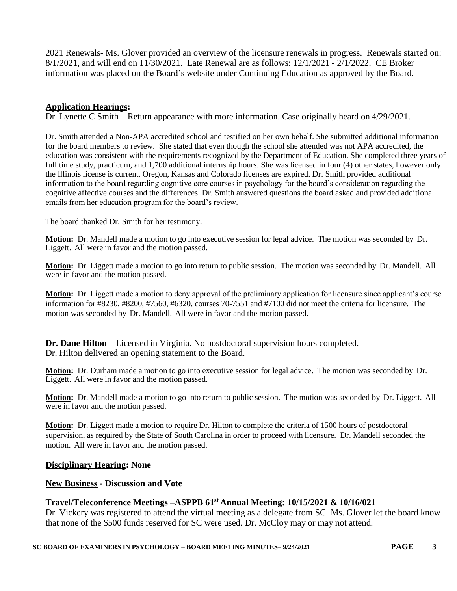2021 Renewals- Ms. Glover provided an overview of the licensure renewals in progress. Renewals started on: 8/1/2021, and will end on 11/30/2021. Late Renewal are as follows: 12/1/2021 - 2/1/2022. CE Broker information was placed on the Board's website under Continuing Education as approved by the Board.

## **Application Hearings:**

Dr. Lynette C Smith – Return appearance with more information. Case originally heard on 4/29/2021.

Dr. Smith attended a Non-APA accredited school and testified on her own behalf. She submitted additional information for the board members to review. She stated that even though the school she attended was not APA accredited, the education was consistent with the requirements recognized by the Department of Education. She completed three years of full time study, practicum, and 1,700 additional internship hours. She was licensed in four (4) other states, however only the Illinois license is current. Oregon, Kansas and Colorado licenses are expired. Dr. Smith provided additional information to the board regarding cognitive core courses in psychology for the board's consideration regarding the cognitive affective courses and the differences. Dr. Smith answered questions the board asked and provided additional emails from her education program for the board's review.

The board thanked Dr. Smith for her testimony.

**Motion:** Dr. Mandell made a motion to go into executive session for legal advice. The motion was seconded by Dr. Liggett. All were in favor and the motion passed.

**Motion:** Dr. Liggett made a motion to go into return to public session. The motion was seconded by Dr. Mandell. All were in favor and the motion passed.

**Motion:** Dr. Liggett made a motion to deny approval of the preliminary application for licensure since applicant's course information for #8230, #8200, #7560, #6320, courses 70-7551 and #7100 did not meet the criteria for licensure. The motion was seconded by Dr. Mandell. All were in favor and the motion passed.

**Dr. Dane Hilton** – Licensed in Virginia. No postdoctoral supervision hours completed. Dr. Hilton delivered an opening statement to the Board.

**Motion:** Dr. Durham made a motion to go into executive session for legal advice. The motion was seconded by Dr. Liggett. All were in favor and the motion passed.

**Motion:** Dr. Mandell made a motion to go into return to public session. The motion was seconded by Dr. Liggett. All were in favor and the motion passed.

**Motion:** Dr. Liggett made a motion to require Dr. Hilton to complete the criteria of 1500 hours of postdoctoral supervision, as required by the State of South Carolina in order to proceed with licensure. Dr. Mandell seconded the motion. All were in favor and the motion passed.

### **Disciplinary Hearing: None**

### **New Business - Discussion and Vote**

# **Travel/Teleconference Meetings –ASPPB 61st Annual Meeting: 10/15/2021 & 10/16/021**

Dr. Vickery was registered to attend the virtual meeting as a delegate from SC. Ms. Glover let the board know that none of the \$500 funds reserved for SC were used. Dr. McCloy may or may not attend.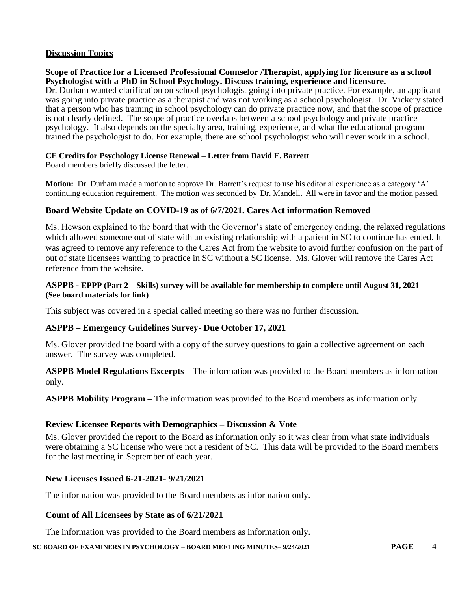# **Discussion Topics**

## **Scope of Practice for a Licensed Professional Counselor /Therapist, applying for licensure as a school Psychologist with a PhD in School Psychology. Discuss training, experience and licensure.**

Dr. Durham wanted clarification on school psychologist going into private practice. For example, an applicant was going into private practice as a therapist and was not working as a school psychologist. Dr. Vickery stated that a person who has training in school psychology can do private practice now, and that the scope of practice is not clearly defined. The scope of practice overlaps between a school psychology and private practice psychology. It also depends on the specialty area, training, experience, and what the educational program trained the psychologist to do. For example, there are school psychologist who will never work in a school.

### **CE Credits for Psychology License Renewal – Letter from David E. Barrett**

Board members briefly discussed the letter.

**Motion:** Dr. Durham made a motion to approve Dr. Barrett's request to use his editorial experience as a category 'A' continuing education requirement. The motion was seconded by Dr. Mandell. All were in favor and the motion passed.

## **Board Website Update on COVID-19 as of 6/7/2021. Cares Act information Removed**

Ms. Hewson explained to the board that with the Governor's state of emergency ending, the relaxed regulations which allowed someone out of state with an existing relationship with a patient in SC to continue has ended. It was agreed to remove any reference to the Cares Act from the website to avoid further confusion on the part of out of state licensees wanting to practice in SC without a SC license. Ms. Glover will remove the Cares Act reference from the website.

### **ASPPB - EPPP (Part 2 – Skills) survey will be available for membership to complete until August 31, 2021 (See board materials for link)**

This subject was covered in a special called meeting so there was no further discussion.

### **ASPPB – Emergency Guidelines Survey- Due October 17, 2021**

Ms. Glover provided the board with a copy of the survey questions to gain a collective agreement on each answer. The survey was completed.

**ASPPB Model Regulations Excerpts –** The information was provided to the Board members as information only.

**ASPPB Mobility Program –** The information was provided to the Board members as information only.

# **Review Licensee Reports with Demographics – Discussion & Vote**

Ms. Glover provided the report to the Board as information only so it was clear from what state individuals were obtaining a SC license who were not a resident of SC. This data will be provided to the Board members for the last meeting in September of each year.

# **New Licenses Issued 6-21-2021- 9/21/2021**

The information was provided to the Board members as information only.

# **Count of All Licensees by State as of 6/21/2021**

The information was provided to the Board members as information only.

**SC BOARD OF EXAMINERS IN PSYCHOLOGY – BOARD MEETING MINUTES– 9/24/2021 PAGE 4**